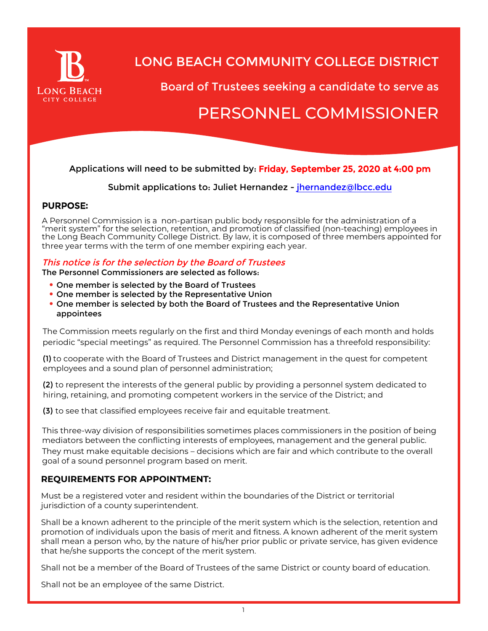

## LONG BEACH COMMUNITY COLLEGE DISTRICT

Board of Trustees seeking a candidate to serve as

# PERSONNEL COMMISSIONER

## Applications will need to be submitted by: Friday, September 25, 2020 at 4:00 pm

Submit applications to: Juliet Hernandez - [jhernandez@lbcc.edu](mailto:jhernandez@lbcc.edu)

### PURPOSE**:**

A Personnel Commission is a non-partisan public body responsible for the administration of a "merit system" for the selection, retention, and promotion of classified (non-teaching) employees in the Long Beach Community College District. By law, it is composed of three members appointed for three year terms with the term of one member expiring each year.

#### This notice is for the selection by the Board of Trustees The Personnel Commissioners are selected as follows:

- One member is selected by the Board of Trustees
- One member is selected by the Representative Union
- One member is selected by both the Board of Trustees and the Representative Union appointees

The Commission meets regularly on the first and third Monday evenings of each month and holds periodic "special meetings" as required. The Personnel Commission has a threefold responsibility:

(1) to cooperate with the Board of Trustees and District management in the quest for competent employees and a sound plan of personnel administration;

(2) to represent the interests of the general public by providing a personnel system dedicated to hiring, retaining, and promoting competent workers in the service of the District; and

(3) to see that classified employees receive fair and equitable treatment.

This three-way division of responsibilities sometimes places commissioners in the position of being mediators between the conflicting interests of employees, management and the general public. They must make equitable decisions – decisions which are fair and which contribute to the overall goal of a sound personnel program based on merit.

#### **REQUIREMENTS FOR APPOINTMENT:**

Must be a registered voter and resident within the boundaries of the District or territorial jurisdiction of a county superintendent.

Shall be a known adherent to the principle of the merit system which is the selection, retention and promotion of individuals upon the basis of merit and fitness. A known adherent of the merit system shall mean a person who, by the nature of his/her prior public or private service, has given evidence that he/she supports the concept of the merit system.

Shall not be a member of the Board of Trustees of the same District or county board of education.

Shall not be an employee of the same District.